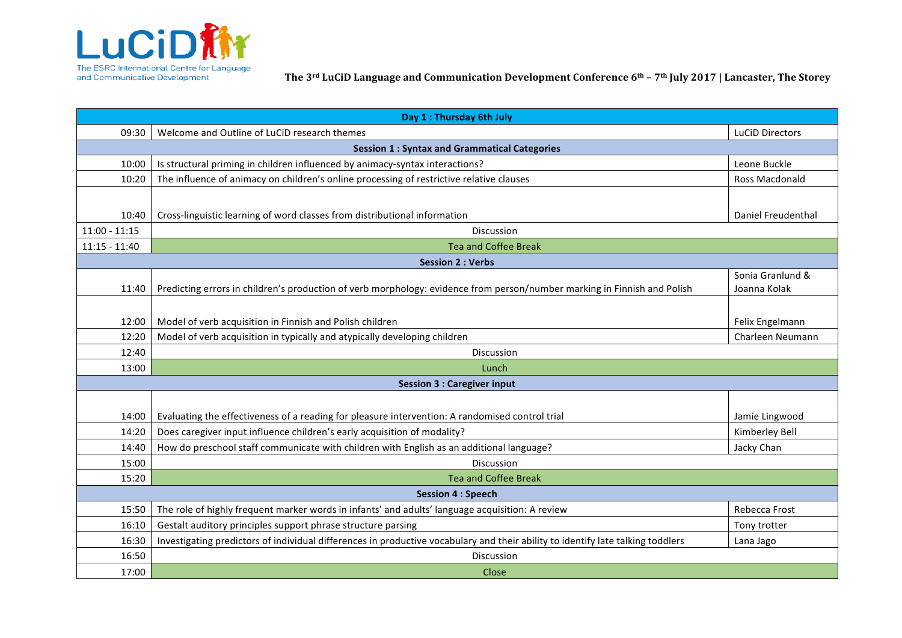

The ESRC International Centre for Language **The 3rd LuCiD Language and Communication Development Conference 6th – 7th July 2017 | Lancaster, The Storey and Communication Development Conference 6th – 7th July 2017 | Lancast** 

| Day 1 : Thursday 6th July                           |                                                                                                                                 |                    |  |
|-----------------------------------------------------|---------------------------------------------------------------------------------------------------------------------------------|--------------------|--|
| 09:30                                               | Welcome and Outline of LuCiD research themes                                                                                    | LuCiD Directors    |  |
| <b>Session 1: Syntax and Grammatical Categories</b> |                                                                                                                                 |                    |  |
| 10:00                                               | Is structural priming in children influenced by animacy-syntax interactions?                                                    | Leone Buckle       |  |
| 10:20                                               | The influence of animacy on children's online processing of restrictive relative clauses                                        | Ross Macdonald     |  |
|                                                     |                                                                                                                                 |                    |  |
| 10:40                                               | Cross-linguistic learning of word classes from distributional information                                                       | Daniel Freudenthal |  |
| $11:00 - 11:15$                                     | Discussion                                                                                                                      |                    |  |
| $11:15 - 11:40$<br><b>Tea and Coffee Break</b>      |                                                                                                                                 |                    |  |
| <b>Session 2: Verbs</b>                             |                                                                                                                                 |                    |  |
|                                                     |                                                                                                                                 | Sonia Granlund &   |  |
| 11:40                                               | Predicting errors in children's production of verb morphology: evidence from person/number marking in Finnish and Polish        | Joanna Kolak       |  |
|                                                     |                                                                                                                                 |                    |  |
| 12:00                                               | Model of verb acquisition in Finnish and Polish children                                                                        | Felix Engelmann    |  |
| 12:20                                               | Model of verb acquisition in typically and atypically developing children                                                       | Charleen Neumann   |  |
| 12:40                                               | <b>Discussion</b>                                                                                                               |                    |  |
| 13:00                                               | Lunch                                                                                                                           |                    |  |
| <b>Session 3 : Caregiver input</b>                  |                                                                                                                                 |                    |  |
|                                                     |                                                                                                                                 |                    |  |
| 14:00                                               | Evaluating the effectiveness of a reading for pleasure intervention: A randomised control trial                                 | Jamie Lingwood     |  |
| 14:20                                               | Does caregiver input influence children's early acquisition of modality?                                                        | Kimberley Bell     |  |
| 14:40                                               | How do preschool staff communicate with children with English as an additional language?                                        | Jacky Chan         |  |
| 15:00                                               | Discussion                                                                                                                      |                    |  |
| 15:20                                               | <b>Tea and Coffee Break</b>                                                                                                     |                    |  |
| <b>Session 4 : Speech</b>                           |                                                                                                                                 |                    |  |
| 15:50                                               | The role of highly frequent marker words in infants' and adults' language acquisition: A review                                 | Rebecca Frost      |  |
| 16:10                                               | Gestalt auditory principles support phrase structure parsing                                                                    | Tony trotter       |  |
| 16:30                                               | Investigating predictors of individual differences in productive vocabulary and their ability to identify late talking toddlers | Lana Jago          |  |
| 16:50                                               | <b>Discussion</b>                                                                                                               |                    |  |
| 17:00                                               | Close                                                                                                                           |                    |  |